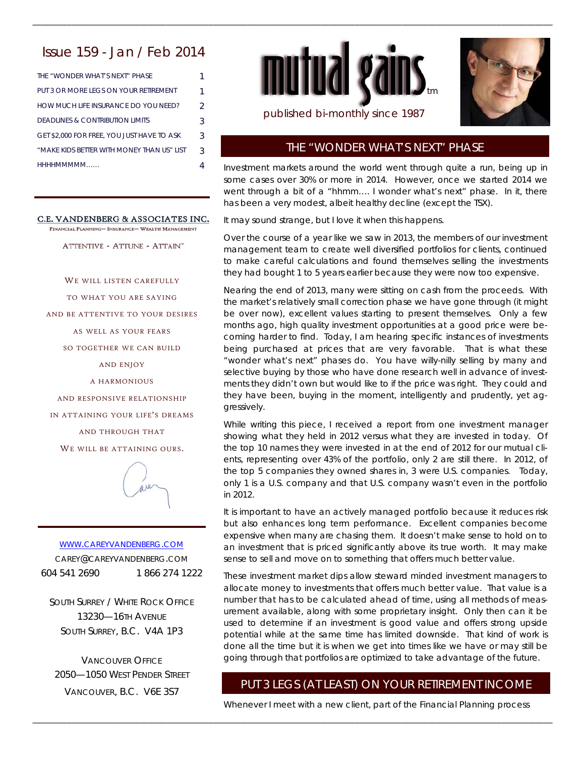# Issue 159 - Jan / Feb 2014

| THE "WONDER WHAT'S NEXT" PHASE             |   |
|--------------------------------------------|---|
| PUT 3 OR MORE LEGS ON YOUR RETIREMENT      | 1 |
| HOW MUCH LIFF INSURANCE DO YOU NEED?       | 2 |
| DEADLINES & CONTRIBUTION LIMITS            | 3 |
| GET \$2,000 FOR FREE, YOU JUST HAVE TO ASK | 3 |
| "MAKE KIDS BETTER WITH MONEY THAN US" LIST | २ |
| HHHHMMMMM                                  |   |

#### C.E. VANDENBERG & ASSOCIATES INC.

FINANCIAL PLANNING- INSURANCE- WEALTH MANAGEMENT

ATTENTIVE - ATTUNE - ATTAIN"

WE WILL LISTEN CAREFULLY TO WHAT YOU ARE SAYING AND BE ATTENTIVE TO YOUR DESIRES AS WELL AS YOUR FEARS SO TOGETHER WE CAN BUILD AND ENJOY A HARMONIOUS AND RESPONSIVE RELATIONSHIP IN ATTAINING YOUR LIFE'S DREAMS AND THROUGH THAT WE WILL BE ATTAINING OURS.



WWW.CAREYVANDENBERG.COM CAREY@CAREYVANDENBERG.COM 604 541 2690 1 866 274 1222

SOUTH SURREY / WHITE ROCK OFFICE 13230—16TH AVENUE SOUTH SURREY, B.C. V4A 1P3

VANCOUVER OFFICE 2050—1050 WEST PENDER STREET VANCOUVER, B.C. V6E 3S7



\_\_\_\_\_\_\_\_\_\_\_\_\_\_\_\_\_\_\_\_\_\_\_\_\_\_\_\_\_\_\_\_\_\_\_\_\_\_\_\_\_\_\_\_\_\_\_\_\_\_\_\_\_\_\_\_\_\_\_\_\_\_\_\_\_\_\_\_\_\_\_\_\_\_\_\_\_\_\_\_\_\_\_\_\_\_\_\_\_\_\_\_\_\_\_\_\_\_\_\_\_\_\_\_\_\_\_\_\_\_\_\_\_\_\_\_\_\_\_\_\_



published bi-monthly since 1987

## THE "WONDER WHAT'S NEXT" PHASE

Investment markets around the world went through quite a run, being up in some cases over 30% or more in 2014. However, once we started 2014 we went through a bit of a "hhmm…. I wonder what's next" phase. In it, there has been a very modest, albeit healthy decline (except the TSX).

It may sound strange, but I love it when this happens.

Over the course of a year like we saw in 2013, the members of our investment management team to create well diversified portfolios for clients, continued to make careful calculations and found themselves selling the investments they had bought 1 to 5 years earlier because they were now too expensive.

Nearing the end of 2013, many were sitting on cash from the proceeds. With the market's relatively small correction phase we have gone through (it might be over now), excellent values starting to present themselves. Only a few months ago, high quality investment opportunities at a good price were becoming harder to find. Today, I am hearing specific instances of investments being purchased at prices that are very favorable. That is what these "wonder what's next" phases do. You have willy-nilly selling by many and selective buying by those who have done research well in advance of investments they didn't own but would like to if the price was right. They could and they have been, buying in the moment, intelligently and prudently, yet aggressively.

While writing this piece, I received a report from one investment manager showing what they held in 2012 versus what they are invested in today. Of the top 10 names they were invested in at the end of 2012 for our mutual clients, representing over 43% of the portfolio, only 2 are still there. In 2012, of the top 5 companies they owned shares in, 3 were U.S. companies. Today, only 1 is a U.S. company and that U.S. company wasn't even in the portfolio in 2012.

It is important to have an actively managed portfolio because it reduces risk but also enhances long term performance. Excellent companies become expensive when many are chasing them. It doesn't make sense to hold on to an investment that is priced significantly above its true worth. It may make sense to sell and move on to something that offers much better value.

These investment market dips allow steward minded investment managers to allocate money to investments that offers much better value. That value is a number that has to be calculated ahead of time, using all methods of measurement available, along with some proprietary insight. Only then can it be used to determine if an investment is good value and offers strong upside potential while at the same time has limited downside. That kind of work is done all the time but it is when we get into times like we have or may still be going through that portfolios are optimized to take advantage of the future.

# PUT 3 LEGS (AT LEAST) ON YOUR RETIREMENT INCOME

Whenever I meet with a new client, part of the Financial Planning process

\_\_\_\_\_\_\_\_\_\_\_\_\_\_\_\_\_\_\_\_\_\_\_\_\_\_\_\_\_\_\_\_\_\_\_\_\_\_\_\_\_\_\_\_\_\_\_\_\_\_\_\_\_\_\_\_\_\_\_\_\_\_\_\_\_\_\_\_\_\_\_\_\_\_\_\_\_\_\_\_\_\_\_\_\_\_\_\_\_\_\_\_\_\_\_\_\_\_\_\_\_\_\_\_\_\_\_\_\_\_\_\_\_\_\_\_\_\_\_\_\_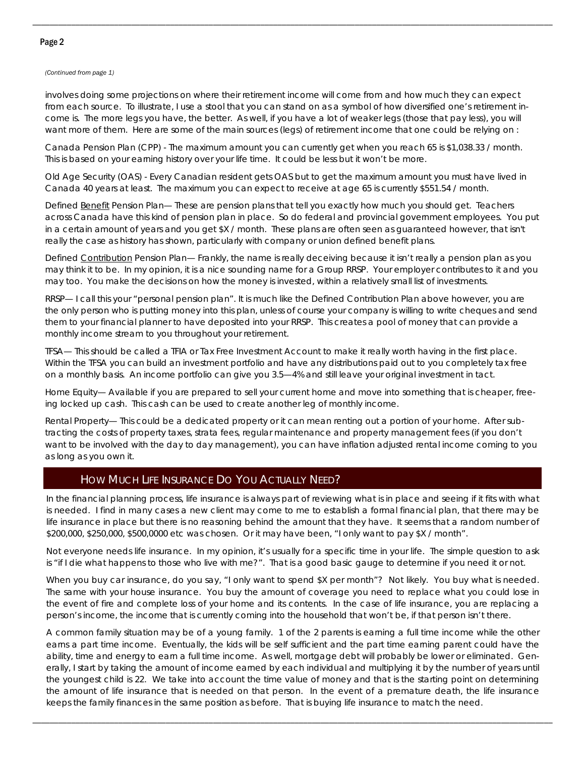### Page 2

#### *(Continued from page 1)*

involves doing some projections on where their retirement income will come from and how much they can expect from each source. To illustrate, I use a stool that you can stand on as a symbol of how diversified one's retirement income is. The more legs you have, the better. As well, if you have a lot of weaker legs (those that pay less), you will want more of them. Here are some of the main sources (legs) of retirement income that one could be relying on :

\_\_\_\_\_\_\_\_\_\_\_\_\_\_\_\_\_\_\_\_\_\_\_\_\_\_\_\_\_\_\_\_\_\_\_\_\_\_\_\_\_\_\_\_\_\_\_\_\_\_\_\_\_\_\_\_\_\_\_\_\_\_\_\_\_\_\_\_\_\_\_\_\_\_\_\_\_\_\_\_\_\_\_\_\_\_\_\_\_\_\_\_\_\_\_\_\_\_\_\_\_\_\_\_\_\_\_\_\_\_\_\_\_\_\_\_\_\_\_\_\_

Canada Pension Plan (CPP) - The maximum amount you can currently get when you reach 65 is \$1,038.33 / month. This is based on your earning history over your life time. It could be less but it won't be more.

Old Age Security (OAS) - Every Canadian resident gets OAS but to get the maximum amount you must have lived in Canada 40 years at least. The maximum you can expect to receive at age 65 is currently \$551.54 / month.

Defined Benefit Pension Plan— These are pension plans that tell you exactly how much you should get. Teachers across Canada have this kind of pension plan in place. So do federal and provincial government employees. You put in a certain amount of years and you get \$X / month. These plans are often seen as guaranteed however, that isn't really the case as history has shown, particularly with company or union defined benefit plans.

Defined Contribution Pension Plan— Frankly, the name is really deceiving because it isn't really a pension plan as you may think it to be. In my opinion, it is a nice sounding name for a Group RRSP. Your employer contributes to it and you may too. You make the decisions on how the money is invested, within a relatively small list of investments.

RRSP— I call this your "personal pension plan". It is much like the Defined Contribution Plan above however, you are the only person who is putting money into this plan, unless of course your company is willing to write cheques and send them to your financial planner to have deposited into your RRSP. This creates a pool of money that can provide a monthly income stream to you throughout your retirement.

TFSA— This should be called a TFIA or Tax Free Investment Account to make it really worth having in the first place. Within the TFSA you can build an investment portfolio and have any distributions paid out to you completely tax free on a monthly basis. An income portfolio can give you 3.5—4% and still leave your original investment in tact.

Home Equity— Available if you are prepared to sell your current home and move into something that is cheaper, freeing locked up cash. This cash can be used to create another leg of monthly income.

Rental Property— This could be a dedicated property or it can mean renting out a portion of your home. After subtracting the costs of property taxes, strata fees, regular maintenance and property management fees (if you don't want to be involved with the day to day management), you can have inflation adjusted rental income coming to you as long as you own it.

## HOW MUCH LIFE INSURANCE DO YOU ACTUALLY NEED?

In the financial planning process, life insurance is always part of reviewing what is in place and seeing if it fits with what is needed. I find in many cases a new client may come to me to establish a formal financial plan, that there may be life insurance in place but there is no reasoning behind the amount that they have. It seems that a random number of \$200,000, \$250,000, \$500,0000 etc was chosen. Or it may have been, "I only want to pay \$X / month".

Not everyone needs life insurance. In my opinion, it's usually for a specific time in your life. The simple question to ask is "if I die what happens to those who live with me?". That is a good basic gauge to determine if you need it or not.

When you buy car insurance, do you say, "I only want to spend \$X per month"? Not likely. You buy what is needed. The same with your house insurance. You buy the amount of coverage you need to replace what you could lose in the event of fire and complete loss of your home and its contents. In the case of life insurance, you are replacing a person's income, the income that is currently coming into the household that won't be, if that person isn't there.

A common family situation may be of a young family. 1 of the 2 parents is earning a full time income while the other earns a part time income. Eventually, the kids will be self sufficient and the part time earning parent could have the ability, time and energy to earn a full time income. As well, mortgage debt will probably be lower or eliminated. Generally, I start by taking the amount of income earned by each individual and multiplying it by the number of years until the youngest child is 22. We take into account the time value of money and that is the starting point on determining the amount of life insurance that is needed on that person. In the event of a premature death, the life insurance keeps the family finances in the same position as before. That is buying life insurance to match the need.

\_\_\_\_\_\_\_\_\_\_\_\_\_\_\_\_\_\_\_\_\_\_\_\_\_\_\_\_\_\_\_\_\_\_\_\_\_\_\_\_\_\_\_\_\_\_\_\_\_\_\_\_\_\_\_\_\_\_\_\_\_\_\_\_\_\_\_\_\_\_\_\_\_\_\_\_\_\_\_\_\_\_\_\_\_\_\_\_\_\_\_\_\_\_\_\_\_\_\_\_\_\_\_\_\_\_\_\_\_\_\_\_\_\_\_\_\_\_\_\_\_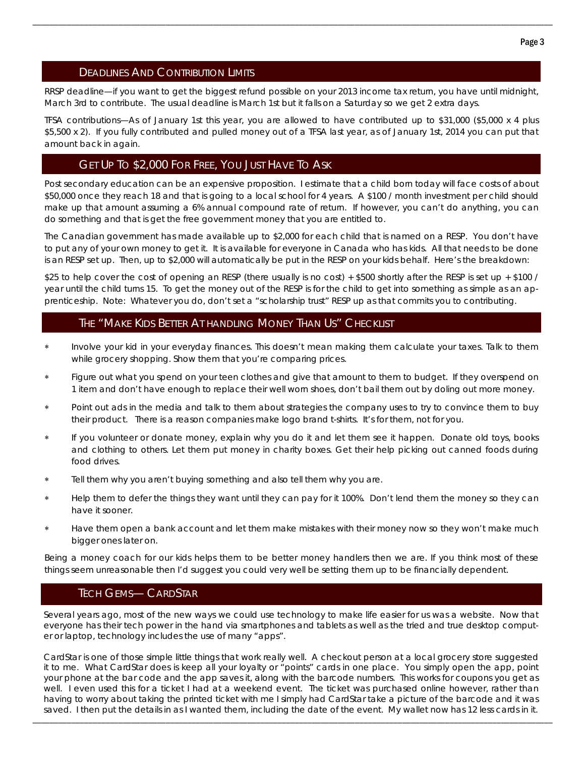### DEADLINES AND CONTRIBUTION LIMITS

RRSP deadline—if you want to get the biggest refund possible on your 2013 income tax return, you have until midnight, March 3rd to contribute. The usual deadline is March 1st but it falls on a Saturday so we get 2 extra days.

\_\_\_\_\_\_\_\_\_\_\_\_\_\_\_\_\_\_\_\_\_\_\_\_\_\_\_\_\_\_\_\_\_\_\_\_\_\_\_\_\_\_\_\_\_\_\_\_\_\_\_\_\_\_\_\_\_\_\_\_\_\_\_\_\_\_\_\_\_\_\_\_\_\_\_\_\_\_\_\_\_\_\_\_\_\_\_\_\_\_\_\_\_\_\_\_\_\_\_\_\_\_\_\_\_\_\_\_\_\_\_\_\_\_\_\_\_\_\_\_\_

TFSA contributions—As of January 1st this year, you are allowed to have contributed up to \$31,000 (\$5,000 x 4 plus \$5,500 x 2). If you fully contributed and pulled money out of a TFSA last year, as of January 1st, 2014 you can put that amount back in again.

# GET UP TO \$2,000 FOR FREE, YOU JUST HAVE TO ASK

Post secondary education can be an expensive proposition. I estimate that a child born today will face costs of about \$50,000 once they reach 18 and that is going to a local school for 4 years. A \$100 / month investment per child should make up that amount assuming a 6% annual compound rate of return. If however, you can't do anything, you can do something and that is get the free government money that you are entitled to.

The Canadian government has made available up to \$2,000 for each child that is named on a RESP. You don't have to put any of your own money to get it. It is available for everyone in Canada who has kids. All that needs to be done is an RESP set up. Then, up to \$2,000 will automatically be put in the RESP on your kids behalf. Here's the breakdown:

\$25 to help cover the cost of opening an RESP (there usually is no cost) + \$500 shortly after the RESP is set up + \$100 / year until the child turns 15. To get the money out of the RESP is for the child to get into something as simple as an apprenticeship. Note: Whatever you do, don't set a "scholarship trust" RESP up as that commits you to contributing.

### THE "MAKE KIDS BETTER AT HANDLING MONEY THAN US" CHECKLIST

- Involve your kid in your everyday finances. This doesn't mean making them calculate your taxes. Talk to them while grocery shopping. Show them that you're comparing prices.
- Figure out what you spend on your teen clothes and give that amount to them to budget. If they overspend on 1 item and don't have enough to replace their well worn shoes, don't bail them out by doling out more money.
- Point out ads in the media and talk to them about strategies the company uses to try to convince them to buy their product. There is a reason companies make logo brand t-shirts. It's for them, not for you.
- If you volunteer or donate money, explain why you do it and let them see it happen. Donate old toys, books and clothing to others. Let them put money in charity boxes. Get their help picking out canned foods during food drives.
- Tell them why you aren't buying something and also tell them why you are.
- Help them to defer the things they want until they can pay for it 100%. Don't lend them the money so they can have it sooner.
- Have them open a bank account and let them make mistakes with their money now so they won't make much bigger ones later on.

Being a money coach for our kids helps them to be better money handlers then we are. If you think most of these things seem unreasonable then I'd suggest you could very well be setting them up to be financially dependent.

# TECH GEMS— CARDSTAR

Several years ago, most of the new ways we could use technology to make life easier for us was a website. Now that everyone has their tech power in the hand via smartphones and tablets as well as the tried and true desktop computer or laptop, technology includes the use of many "apps".

CardStar is one of those simple little things that work really well. A checkout person at a local grocery store suggested it to me. What CardStar does is keep all your loyalty or "points" cards in one place. You simply open the app, point your phone at the bar code and the app saves it, along with the barcode numbers. This works for coupons you get as well. I even used this for a ticket I had at a weekend event. The ticket was purchased online however, rather than having to worry about taking the printed ticket with me I simply had CardStar take a picture of the barcode and it was saved. I then put the details in as I wanted them, including the date of the event. My wallet now has 12 less cards in it.

\_\_\_\_\_\_\_\_\_\_\_\_\_\_\_\_\_\_\_\_\_\_\_\_\_\_\_\_\_\_\_\_\_\_\_\_\_\_\_\_\_\_\_\_\_\_\_\_\_\_\_\_\_\_\_\_\_\_\_\_\_\_\_\_\_\_\_\_\_\_\_\_\_\_\_\_\_\_\_\_\_\_\_\_\_\_\_\_\_\_\_\_\_\_\_\_\_\_\_\_\_\_\_\_\_\_\_\_\_\_\_\_\_\_\_\_\_\_\_\_\_